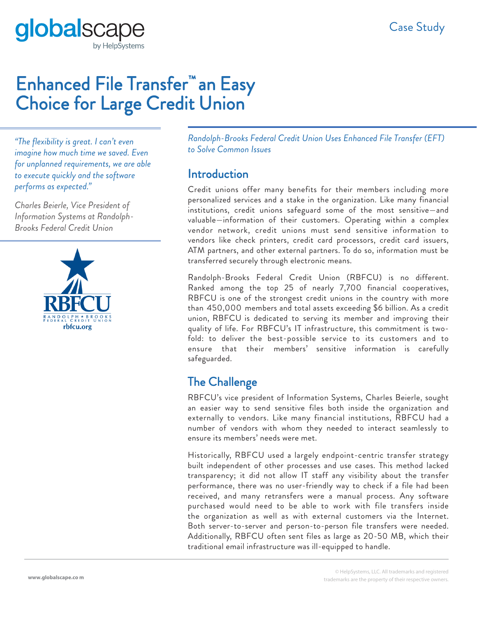globalsca by HelpSystems

# Enhanced File Transfer™ an Easy Choice for Large Credit Union

*"The flexibility is great. I can't even imagine how much time we saved. Even for unplanned requirements, we are able to execute quickly and the software performs as expected."*

*Charles Beierle, Vice President of Information Systems at Randolph-Brooks Federal Credit Union*



*Randolph-Brooks Federal Credit Union Uses Enhanced File Transfer (EFT) to Solve Common Issues*

#### **Introduction**

Credit unions offer many benefits for their members including more personalized services and a stake in the organization. Like many financial institutions, credit unions safeguard some of the most sensitive—and valuable—information of their customers. Operating within a complex vendor network, credit unions must send sensitive information to vendors like check printers, credit card processors, credit card issuers, ATM partners, and other external partners. To do so, information must be transferred securely through electronic means.

Randolph-Brooks Federal Credit Union (RBFCU) is no different. Ranked among the top 25 of nearly 7,700 financial cooperatives, RBFCU is one of the strongest credit unions in the country with more than 450,000 members and total assets exceeding \$6 billion. As a credit union, RBFCU is dedicated to serving its member and improving their quality of life. For RBFCU's IT infrastructure, this commitment is twofold: to deliver the best-possible service to its customers and to ensure that their members' sensitive information is carefully safeguarded.

## The Challenge

RBFCU's vice president of Information Systems, Charles Beierle, sought an easier way to send sensitive files both inside the organization and externally to vendors. Like many financial institutions, RBFCU had a number of vendors with whom they needed to interact seamlessly to ensure its members' needs were met.

Historically, RBFCU used a largely endpoint-centric transfer strategy built independent of other processes and use cases. This method lacked transparency; it did not allow IT staff any visibility about the transfer performance, there was no user-friendly way to check if a file had been received, and many retransfers were a manual process. Any software purchased would need to be able to work with file transfers inside the organization as well as with external customers via the Internet. Both server-to-server and person-to-person file transfers were needed. Additionally, RBFCU often sent files as large as 20-50 MB, which their traditional email infrastructure was ill-equipped to handle.